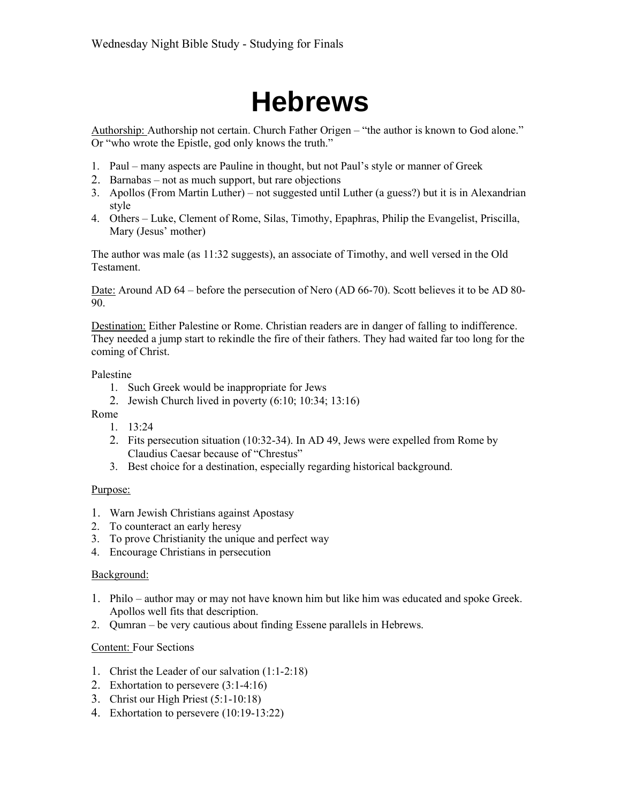# **Hebrews**

Authorship: Authorship not certain. Church Father Origen – "the author is known to God alone." Or "who wrote the Epistle, god only knows the truth."

- 1. Paul many aspects are Pauline in thought, but not Paul's style or manner of Greek
- 2. Barnabas not as much support, but rare objections
- 3. Apollos (From Martin Luther) not suggested until Luther (a guess?) but it is in Alexandrian style
- 4. Others Luke, Clement of Rome, Silas, Timothy, Epaphras, Philip the Evangelist, Priscilla, Mary (Jesus' mother)

The author was male (as 11:32 suggests), an associate of Timothy, and well versed in the Old Testament.

Date: Around AD 64 – before the persecution of Nero (AD 66-70). Scott believes it to be AD 80- 90.

Destination: Either Palestine or Rome. Christian readers are in danger of falling to indifference. They needed a jump start to rekindle the fire of their fathers. They had waited far too long for the coming of Christ.

#### Palestine

- 1. Such Greek would be inappropriate for Jews
- 2. Jewish Church lived in poverty (6:10; 10:34; 13:16)
- Rome
	- 1. 13:24
	- 2. Fits persecution situation (10:32-34). In AD 49, Jews were expelled from Rome by Claudius Caesar because of "Chrestus"
	- 3. Best choice for a destination, especially regarding historical background.

#### Purpose:

- 1. Warn Jewish Christians against Apostasy
- 2. To counteract an early heresy
- 3. To prove Christianity the unique and perfect way
- 4. Encourage Christians in persecution

#### Background:

- 1. Philo author may or may not have known him but like him was educated and spoke Greek. Apollos well fits that description.
- 2. Qumran be very cautious about finding Essene parallels in Hebrews.

#### Content: Four Sections

- 1. Christ the Leader of our salvation (1:1-2:18)
- 2. Exhortation to persevere (3:1-4:16)
- 3. Christ our High Priest (5:1-10:18)
- 4. Exhortation to persevere (10:19-13:22)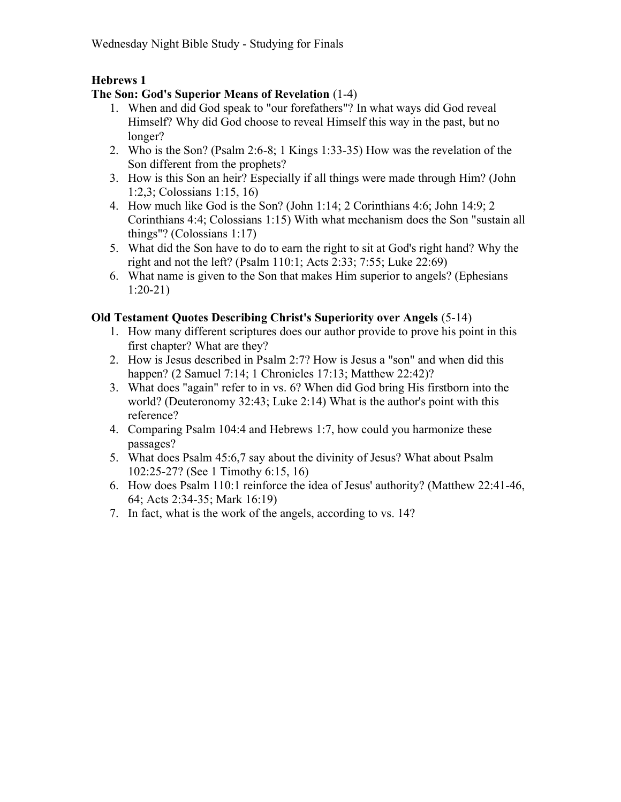# Hebrews 1

# The Son: God's Superior Means of Revelation (1-4)

- 1. When and did God speak to "our forefathers"? In what ways did God reveal Himself? Why did God choose to reveal Himself this way in the past, but no longer?
- 2. Who is the Son? (Psalm 2:6-8; 1 Kings 1:33-35) How was the revelation of the Son different from the prophets?
- 3. How is this Son an heir? Especially if all things were made through Him? (John 1:2,3; Colossians 1:15, 16)
- 4. How much like God is the Son? (John 1:14; 2 Corinthians 4:6; John 14:9; 2 Corinthians 4:4; Colossians 1:15) With what mechanism does the Son "sustain all things"? (Colossians 1:17)
- 5. What did the Son have to do to earn the right to sit at God's right hand? Why the right and not the left? (Psalm 110:1; Acts 2:33; 7:55; Luke 22:69)
- 6. What name is given to the Son that makes Him superior to angels? (Ephesians 1:20-21)

# Old Testament Quotes Describing Christ's Superiority over Angels (5-14)

- 1. How many different scriptures does our author provide to prove his point in this first chapter? What are they?
- 2. How is Jesus described in Psalm 2:7? How is Jesus a "son" and when did this happen? (2 Samuel 7:14; 1 Chronicles 17:13; Matthew 22:42)?
- 3. What does "again" refer to in vs. 6? When did God bring His firstborn into the world? (Deuteronomy 32:43; Luke 2:14) What is the author's point with this reference?
- 4. Comparing Psalm 104:4 and Hebrews 1:7, how could you harmonize these passages?
- 5. What does Psalm 45:6,7 say about the divinity of Jesus? What about Psalm 102:25-27? (See 1 Timothy 6:15, 16)
- 6. How does Psalm 110:1 reinforce the idea of Jesus' authority? (Matthew 22:41-46, 64; Acts 2:34-35; Mark 16:19)
- 7. In fact, what is the work of the angels, according to vs. 14?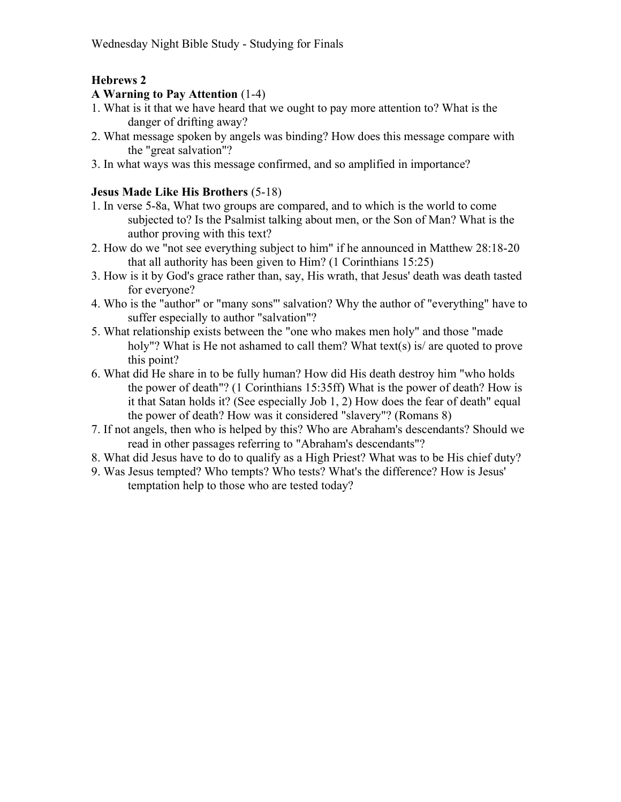## Hebrews 2

#### A Warning to Pay Attention (1-4)

- 1. What is it that we have heard that we ought to pay more attention to? What is the danger of drifting away?
- 2. What message spoken by angels was binding? How does this message compare with the "great salvation"?
- 3. In what ways was this message confirmed, and so amplified in importance?

#### Jesus Made Like His Brothers (5-18)

- 1. In verse 5-8a, What two groups are compared, and to which is the world to come subjected to? Is the Psalmist talking about men, or the Son of Man? What is the author proving with this text?
- 2. How do we "not see everything subject to him" if he announced in Matthew 28:18-20 that all authority has been given to Him? (1 Corinthians 15:25)
- 3. How is it by God's grace rather than, say, His wrath, that Jesus' death was death tasted for everyone?
- 4. Who is the "author" or "many sons"' salvation? Why the author of "everything" have to suffer especially to author "salvation"?
- 5. What relationship exists between the "one who makes men holy" and those "made holy"? What is He not ashamed to call them? What text(s) is/ are quoted to prove this point?
- 6. What did He share in to be fully human? How did His death destroy him "who holds the power of death"? (1 Corinthians 15:35ff) What is the power of death? How is it that Satan holds it? (See especially Job 1, 2) How does the fear of death" equal the power of death? How was it considered "slavery"? (Romans 8)
- 7. If not angels, then who is helped by this? Who are Abraham's descendants? Should we read in other passages referring to "Abraham's descendants"?
- 8. What did Jesus have to do to qualify as a High Priest? What was to be His chief duty?
- 9. Was Jesus tempted? Who tempts? Who tests? What's the difference? How is Jesus' temptation help to those who are tested today?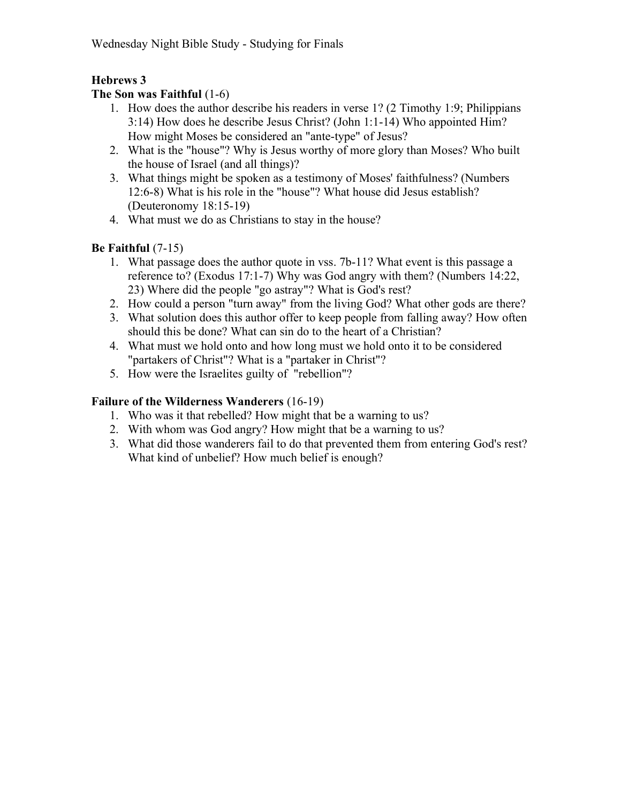# Hebrews 3

#### The Son was Faithful (1-6)

- 1. How does the author describe his readers in verse 1? (2 Timothy 1:9; Philippians 3:14) How does he describe Jesus Christ? (John 1:1-14) Who appointed Him? How might Moses be considered an "ante-type" of Jesus?
- 2. What is the "house"? Why is Jesus worthy of more glory than Moses? Who built the house of Israel (and all things)?
- 3. What things might be spoken as a testimony of Moses' faithfulness? (Numbers 12:6-8) What is his role in the "house"? What house did Jesus establish? (Deuteronomy 18:15-19)
- 4. What must we do as Christians to stay in the house?

# Be Faithful (7-15)

- 1. What passage does the author quote in vss. 7b-11? What event is this passage a reference to? (Exodus 17:1-7) Why was God angry with them? (Numbers 14:22, 23) Where did the people "go astray"? What is God's rest?
- 2. How could a person "turn away" from the living God? What other gods are there?
- 3. What solution does this author offer to keep people from falling away? How often should this be done? What can sin do to the heart of a Christian?
- 4. What must we hold onto and how long must we hold onto it to be considered "partakers of Christ"? What is a "partaker in Christ"?
- 5. How were the Israelites guilty of "rebellion"?

# Failure of the Wilderness Wanderers (16-19)

- 1. Who was it that rebelled? How might that be a warning to us?
- 2. With whom was God angry? How might that be a warning to us?
- 3. What did those wanderers fail to do that prevented them from entering God's rest? What kind of unbelief? How much belief is enough?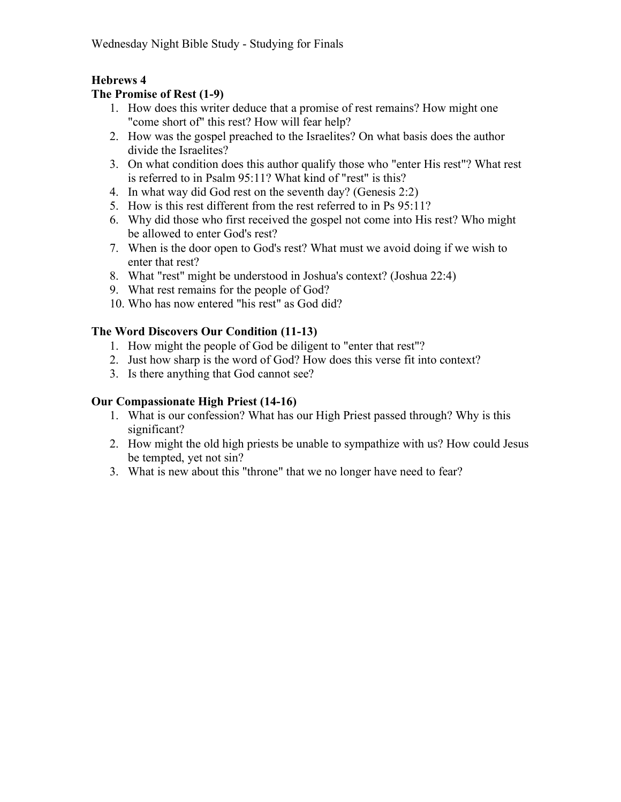# Hebrews 4

#### The Promise of Rest (1-9)

- 1. How does this writer deduce that a promise of rest remains? How might one "come short of" this rest? How will fear help?
- 2. How was the gospel preached to the Israelites? On what basis does the author divide the Israelites?
- 3. On what condition does this author qualify those who "enter His rest"? What rest is referred to in Psalm 95:11? What kind of "rest" is this?
- 4. In what way did God rest on the seventh day? (Genesis 2:2)
- 5. How is this rest different from the rest referred to in Ps 95:11?
- 6. Why did those who first received the gospel not come into His rest? Who might be allowed to enter God's rest?
- 7. When is the door open to God's rest? What must we avoid doing if we wish to enter that rest?
- 8. What "rest" might be understood in Joshua's context? (Joshua 22:4)
- 9. What rest remains for the people of God?
- 10. Who has now entered "his rest" as God did?

#### The Word Discovers Our Condition (11-13)

- 1. How might the people of God be diligent to "enter that rest"?
- 2. Just how sharp is the word of God? How does this verse fit into context?
- 3. Is there anything that God cannot see?

#### Our Compassionate High Priest (14-16)

- 1. What is our confession? What has our High Priest passed through? Why is this significant?
- 2. How might the old high priests be unable to sympathize with us? How could Jesus be tempted, yet not sin?
- 3. What is new about this "throne" that we no longer have need to fear?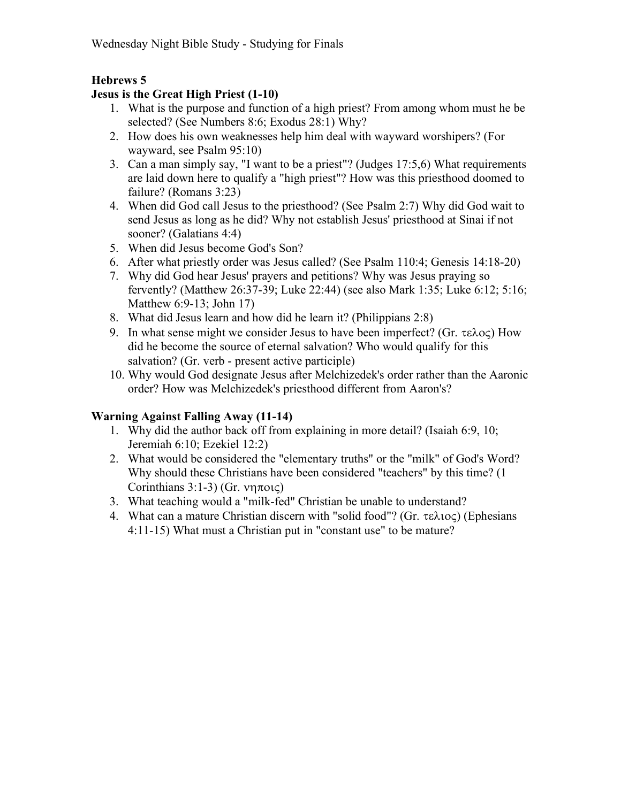# Hebrews 5

# Jesus is the Great High Priest (1-10)

- 1. What is the purpose and function of a high priest? From among whom must he be selected? (See Numbers 8:6; Exodus 28:1) Why?
- 2. How does his own weaknesses help him deal with wayward worshipers? (For wayward, see Psalm 95:10)
- 3. Can a man simply say, "I want to be a priest"? (Judges 17:5,6) What requirements are laid down here to qualify a "high priest"? How was this priesthood doomed to failure? (Romans 3:23)
- 4. When did God call Jesus to the priesthood? (See Psalm 2:7) Why did God wait to send Jesus as long as he did? Why not establish Jesus' priesthood at Sinai if not sooner? (Galatians 4:4)
- 5. When did Jesus become God's Son?
- 6. After what priestly order was Jesus called? (See Psalm 110:4; Genesis 14:18-20)
- 7. Why did God hear Jesus' prayers and petitions? Why was Jesus praying so fervently? (Matthew 26:37-39; Luke 22:44) (see also Mark 1:35; Luke 6:12; 5:16; Matthew 6:9-13; John 17)
- 8. What did Jesus learn and how did he learn it? (Philippians 2:8)
- 9. In what sense might we consider Jesus to have been imperfect? (Gr.  $\tau \in \lambda$ o $\subset$ ) How did he become the source of eternal salvation? Who would qualify for this salvation? (Gr. verb - present active participle)
- 10. Why would God designate Jesus after Melchizedek's order rather than the Aaronic order? How was Melchizedek's priesthood different from Aaron's?

# Warning Against Falling Away (11-14)

- 1. Why did the author back off from explaining in more detail? (Isaiah 6:9, 10; Jeremiah 6:10; Ezekiel 12:2)
- 2. What would be considered the "elementary truths" or the "milk" of God's Word? Why should these Christians have been considered "teachers" by this time? (1 Corinthians 3:1-3) (Gr.  $\nu$ ηποις)
- 3. What teaching would a "milk-fed" Christian be unable to understand?
- 4. What can a mature Christian discern with "solid food"? (Gr.  $\tau \in \lambda$ 10 $\varsigma$ ) (Ephesians 4:11-15) What must a Christian put in "constant use" to be mature?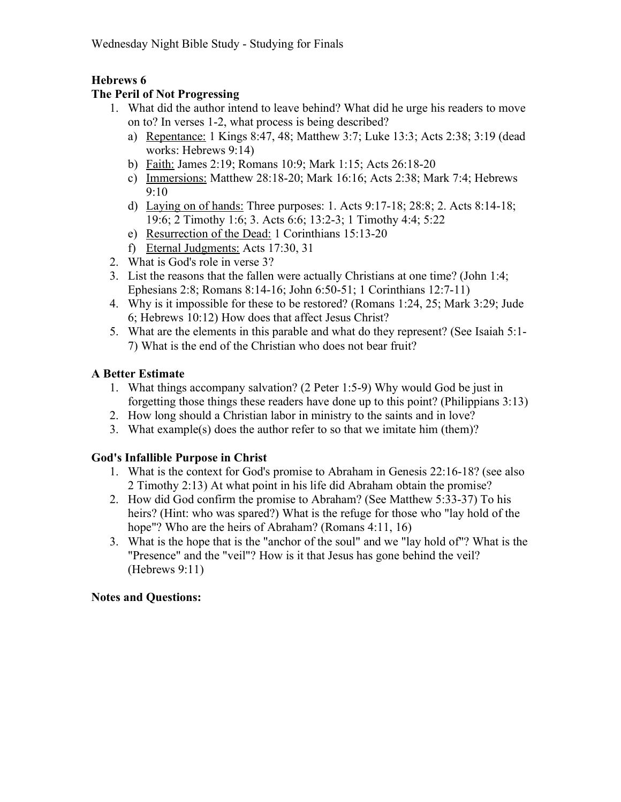# Hebrews 6

## The Peril of Not Progressing

- 1. What did the author intend to leave behind? What did he urge his readers to move on to? In verses 1-2, what process is being described?
	- a) Repentance: 1 Kings 8:47, 48; Matthew 3:7; Luke 13:3; Acts 2:38; 3:19 (dead works: Hebrews 9:14)
	- b) Faith: James 2:19; Romans 10:9; Mark 1:15; Acts 26:18-20
	- c) Immersions: Matthew 28:18-20; Mark 16:16; Acts 2:38; Mark 7:4; Hebrews 9:10
	- d) Laying on of hands: Three purposes: 1. Acts 9:17-18; 28:8; 2. Acts 8:14-18; 19:6; 2 Timothy 1:6; 3. Acts 6:6; 13:2-3; 1 Timothy 4:4; 5:22
	- e) Resurrection of the Dead: 1 Corinthians 15:13-20
	- f) Eternal Judgments: Acts 17:30, 31
- 2. What is God's role in verse 3?
- 3. List the reasons that the fallen were actually Christians at one time? (John 1:4; Ephesians 2:8; Romans 8:14-16; John 6:50-51; 1 Corinthians 12:7-11)
- 4. Why is it impossible for these to be restored? (Romans 1:24, 25; Mark 3:29; Jude 6; Hebrews 10:12) How does that affect Jesus Christ?
- 5. What are the elements in this parable and what do they represent? (See Isaiah 5:1- 7) What is the end of the Christian who does not bear fruit?

# A Better Estimate

- 1. What things accompany salvation? (2 Peter 1:5-9) Why would God be just in forgetting those things these readers have done up to this point? (Philippians 3:13)
- 2. How long should a Christian labor in ministry to the saints and in love?
- 3. What example(s) does the author refer to so that we imitate him (them)?

# God's Infallible Purpose in Christ

- 1. What is the context for God's promise to Abraham in Genesis 22:16-18? (see also 2 Timothy 2:13) At what point in his life did Abraham obtain the promise?
- 2. How did God confirm the promise to Abraham? (See Matthew 5:33-37) To his heirs? (Hint: who was spared?) What is the refuge for those who "lay hold of the hope"? Who are the heirs of Abraham? (Romans 4:11, 16)
- 3. What is the hope that is the "anchor of the soul" and we "lay hold of"? What is the "Presence" and the "veil"? How is it that Jesus has gone behind the veil? (Hebrews 9:11)

# Notes and Questions: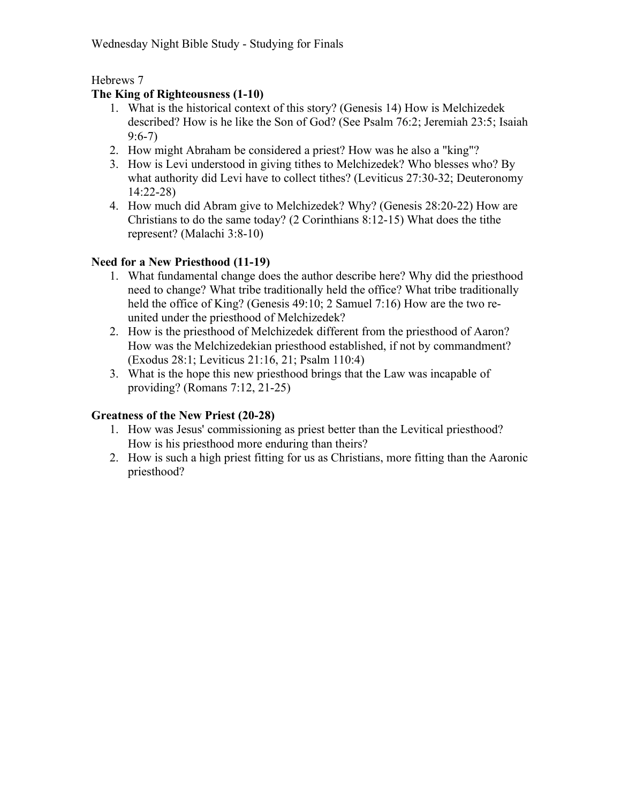Hebrews 7

# The King of Righteousness (1-10)

- 1. What is the historical context of this story? (Genesis 14) How is Melchizedek described? How is he like the Son of God? (See Psalm 76:2; Jeremiah 23:5; Isaiah 9:6-7)
- 2. How might Abraham be considered a priest? How was he also a "king"?
- 3. How is Levi understood in giving tithes to Melchizedek? Who blesses who? By what authority did Levi have to collect tithes? (Leviticus 27:30-32; Deuteronomy 14:22-28)
- 4. How much did Abram give to Melchizedek? Why? (Genesis 28:20-22) How are Christians to do the same today? (2 Corinthians 8:12-15) What does the tithe represent? (Malachi 3:8-10)

# Need for a New Priesthood (11-19)

- 1. What fundamental change does the author describe here? Why did the priesthood need to change? What tribe traditionally held the office? What tribe traditionally held the office of King? (Genesis 49:10; 2 Samuel 7:16) How are the two reunited under the priesthood of Melchizedek?
- 2. How is the priesthood of Melchizedek different from the priesthood of Aaron? How was the Melchizedekian priesthood established, if not by commandment? (Exodus 28:1; Leviticus 21:16, 21; Psalm 110:4)
- 3. What is the hope this new priesthood brings that the Law was incapable of providing? (Romans 7:12, 21-25)

# Greatness of the New Priest (20-28)

- 1. How was Jesus' commissioning as priest better than the Levitical priesthood? How is his priesthood more enduring than theirs?
- 2. How is such a high priest fitting for us as Christians, more fitting than the Aaronic priesthood?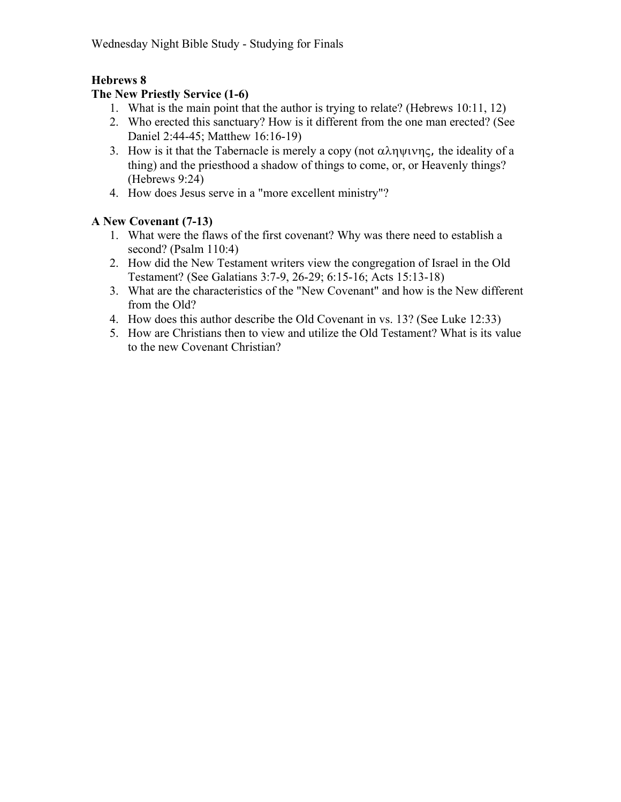# Hebrews 8

# The New Priestly Service (1-6)

- 1. What is the main point that the author is trying to relate? (Hebrews 10:11, 12)
- 2. Who erected this sanctuary? How is it different from the one man erected? (See Daniel 2:44-45; Matthew 16:16-19)
- 3. How is it that the Tabernacle is merely a copy (not  $\alpha \lambda \eta \psi \psi \eta \zeta$ , the ideality of a thing) and the priesthood a shadow of things to come, or, or Heavenly things? (Hebrews 9:24)
- 4. How does Jesus serve in a "more excellent ministry"?

# A New Covenant (7-13)

- 1. What were the flaws of the first covenant? Why was there need to establish a second? (Psalm 110:4)
- 2. How did the New Testament writers view the congregation of Israel in the Old Testament? (See Galatians 3:7-9, 26-29; 6:15-16; Acts 15:13-18)
- 3. What are the characteristics of the "New Covenant" and how is the New different from the Old?
- 4. How does this author describe the Old Covenant in vs. 13? (See Luke 12:33)
- 5. How are Christians then to view and utilize the Old Testament? What is its value to the new Covenant Christian?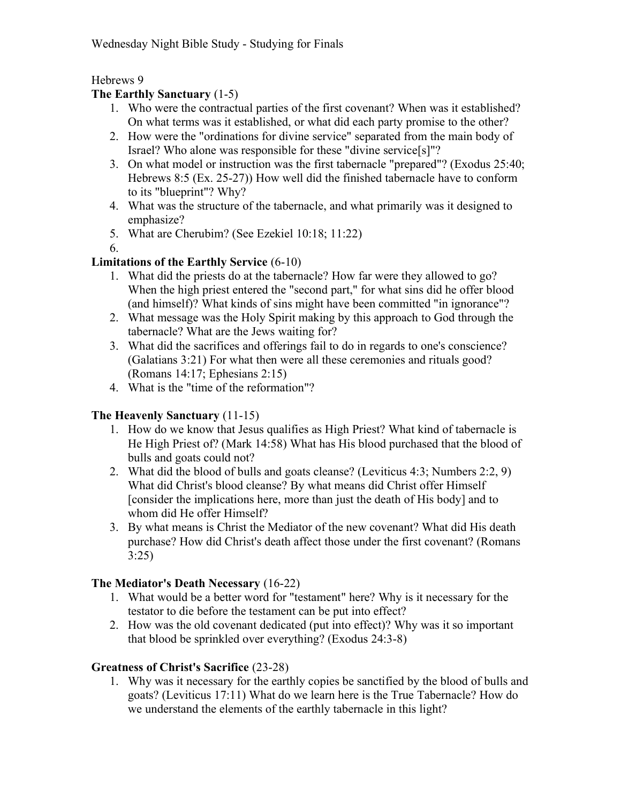Hebrews 9

# The Earthly Sanctuary (1-5)

- 1. Who were the contractual parties of the first covenant? When was it established? On what terms was it established, or what did each party promise to the other?
- 2. How were the "ordinations for divine service" separated from the main body of Israel? Who alone was responsible for these "divine service[s]"?
- 3. On what model or instruction was the first tabernacle "prepared"? (Exodus 25:40; Hebrews 8:5 (Ex. 25-27)) How well did the finished tabernacle have to conform to its "blueprint"? Why?
- 4. What was the structure of the tabernacle, and what primarily was it designed to emphasize?
- 5. What are Cherubim? (See Ezekiel 10:18; 11:22)

6.

# Limitations of the Earthly Service (6-10)

- 1. What did the priests do at the tabernacle? How far were they allowed to go? When the high priest entered the "second part," for what sins did he offer blood (and himself)? What kinds of sins might have been committed "in ignorance"?
- 2. What message was the Holy Spirit making by this approach to God through the tabernacle? What are the Jews waiting for?
- 3. What did the sacrifices and offerings fail to do in regards to one's conscience? (Galatians 3:21) For what then were all these ceremonies and rituals good? (Romans 14:17; Ephesians 2:15)
- 4. What is the "time of the reformation"?

# The Heavenly Sanctuary (11-15)

- 1. How do we know that Jesus qualifies as High Priest? What kind of tabernacle is He High Priest of? (Mark 14:58) What has His blood purchased that the blood of bulls and goats could not?
- 2. What did the blood of bulls and goats cleanse? (Leviticus 4:3; Numbers 2:2, 9) What did Christ's blood cleanse? By what means did Christ offer Himself [consider the implications here, more than just the death of His body] and to whom did He offer Himself?
- 3. By what means is Christ the Mediator of the new covenant? What did His death purchase? How did Christ's death affect those under the first covenant? (Romans 3:25)

# The Mediator's Death Necessary (16-22)

- 1. What would be a better word for "testament" here? Why is it necessary for the testator to die before the testament can be put into effect?
- 2. How was the old covenant dedicated (put into effect)? Why was it so important that blood be sprinkled over everything? (Exodus 24:3-8)

# Greatness of Christ's Sacrifice (23-28)

1. Why was it necessary for the earthly copies be sanctified by the blood of bulls and goats? (Leviticus 17:11) What do we learn here is the True Tabernacle? How do we understand the elements of the earthly tabernacle in this light?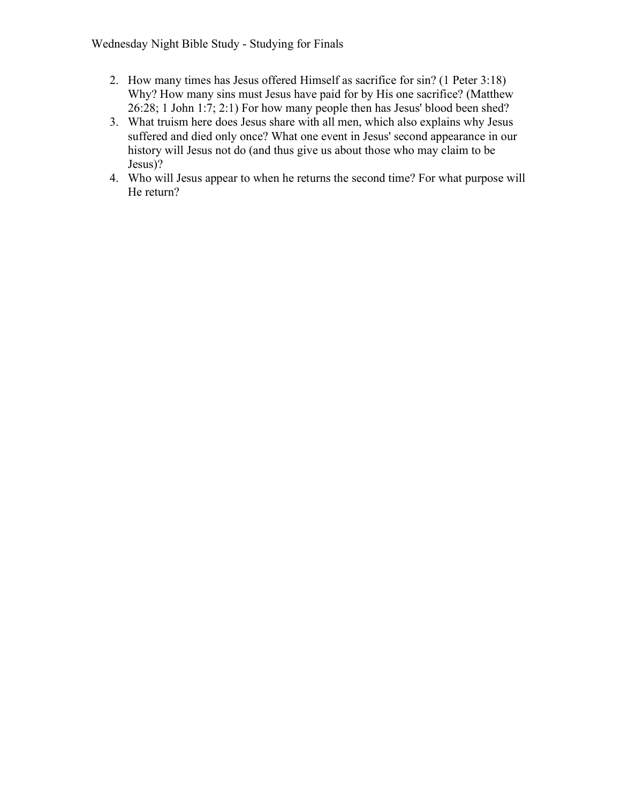- 2. How many times has Jesus offered Himself as sacrifice for sin? (1 Peter 3:18) Why? How many sins must Jesus have paid for by His one sacrifice? (Matthew 26:28; 1 John 1:7; 2:1) For how many people then has Jesus' blood been shed?
- 3. What truism here does Jesus share with all men, which also explains why Jesus suffered and died only once? What one event in Jesus' second appearance in our history will Jesus not do (and thus give us about those who may claim to be Jesus)?
- 4. Who will Jesus appear to when he returns the second time? For what purpose will He return?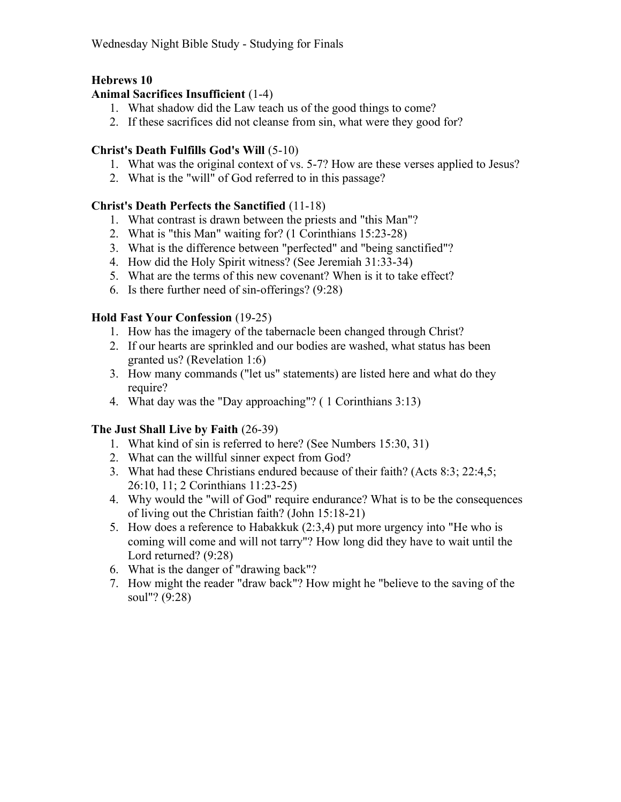# Hebrews 10

## Animal Sacrifices Insufficient (1-4)

- 1. What shadow did the Law teach us of the good things to come?
- 2. If these sacrifices did not cleanse from sin, what were they good for?

#### Christ's Death Fulfills God's Will (5-10)

- 1. What was the original context of vs. 5-7? How are these verses applied to Jesus?
- 2. What is the "will" of God referred to in this passage?

# Christ's Death Perfects the Sanctified (11-18)

- 1. What contrast is drawn between the priests and "this Man"?
- 2. What is "this Man" waiting for? (1 Corinthians 15:23-28)
- 3. What is the difference between "perfected" and "being sanctified"?
- 4. How did the Holy Spirit witness? (See Jeremiah 31:33-34)
- 5. What are the terms of this new covenant? When is it to take effect?
- 6. Is there further need of sin-offerings? (9:28)

#### Hold Fast Your Confession (19-25)

- 1. How has the imagery of the tabernacle been changed through Christ?
- 2. If our hearts are sprinkled and our bodies are washed, what status has been granted us? (Revelation 1:6)
- 3. How many commands ("let us" statements) are listed here and what do they require?
- 4. What day was the "Day approaching"? ( 1 Corinthians 3:13)

# The Just Shall Live by Faith (26-39)

- 1. What kind of sin is referred to here? (See Numbers 15:30, 31)
- 2. What can the willful sinner expect from God?
- 3. What had these Christians endured because of their faith? (Acts 8:3; 22:4,5; 26:10, 11; 2 Corinthians 11:23-25)
- 4. Why would the "will of God" require endurance? What is to be the consequences of living out the Christian faith? (John 15:18-21)
- 5. How does a reference to Habakkuk (2:3,4) put more urgency into "He who is coming will come and will not tarry"? How long did they have to wait until the Lord returned? (9:28)
- 6. What is the danger of "drawing back"?
- 7. How might the reader "draw back"? How might he "believe to the saving of the soul"? (9:28)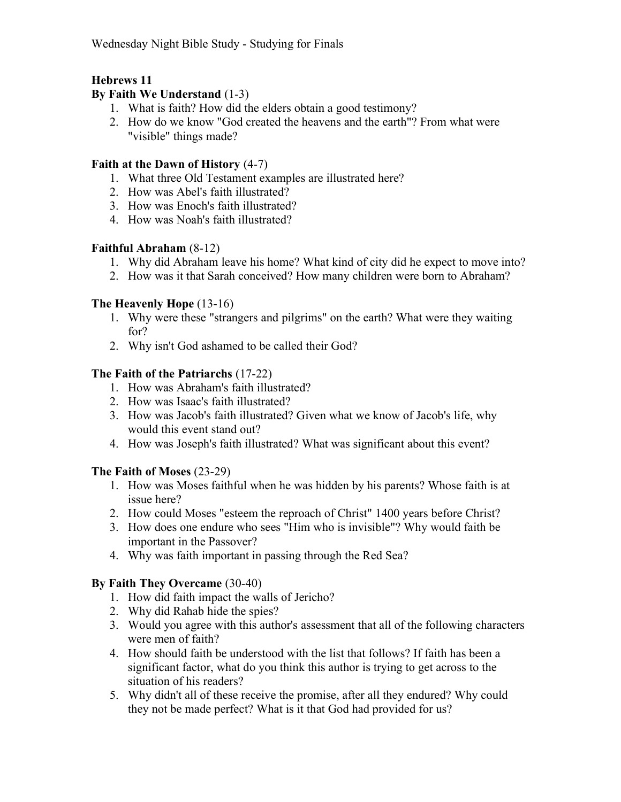# Hebrews 11

#### By Faith We Understand (1-3)

- 1. What is faith? How did the elders obtain a good testimony?
- 2. How do we know "God created the heavens and the earth"? From what were "visible" things made?

#### Faith at the Dawn of History (4-7)

- 1. What three Old Testament examples are illustrated here?
- 2. How was Abel's faith illustrated?
- 3. How was Enoch's faith illustrated?
- 4. How was Noah's faith illustrated?

#### Faithful Abraham (8-12)

- 1. Why did Abraham leave his home? What kind of city did he expect to move into?
- 2. How was it that Sarah conceived? How many children were born to Abraham?

#### The Heavenly Hope (13-16)

- 1. Why were these "strangers and pilgrims" on the earth? What were they waiting for?
- 2. Why isn't God ashamed to be called their God?

# The Faith of the Patriarchs (17-22)

- 1. How was Abraham's faith illustrated?
- 2. How was Isaac's faith illustrated?
- 3. How was Jacob's faith illustrated? Given what we know of Jacob's life, why would this event stand out?
- 4. How was Joseph's faith illustrated? What was significant about this event?

#### The Faith of Moses (23-29)

- 1. How was Moses faithful when he was hidden by his parents? Whose faith is at issue here?
- 2. How could Moses "esteem the reproach of Christ" 1400 years before Christ?
- 3. How does one endure who sees "Him who is invisible"? Why would faith be important in the Passover?
- 4. Why was faith important in passing through the Red Sea?

# By Faith They Overcame (30-40)

- 1. How did faith impact the walls of Jericho?
- 2. Why did Rahab hide the spies?
- 3. Would you agree with this author's assessment that all of the following characters were men of faith?
- 4. How should faith be understood with the list that follows? If faith has been a significant factor, what do you think this author is trying to get across to the situation of his readers?
- 5. Why didn't all of these receive the promise, after all they endured? Why could they not be made perfect? What is it that God had provided for us?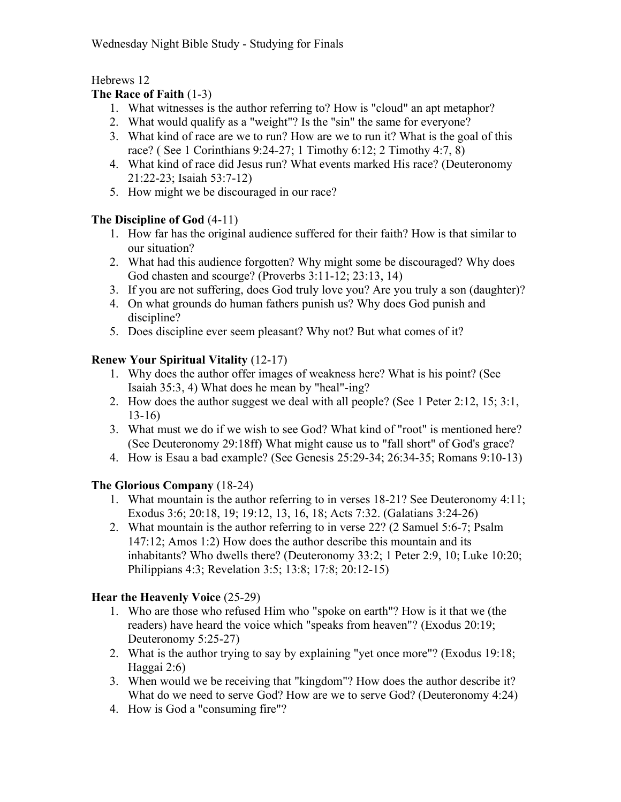# Hebrews 12

# The Race of Faith (1-3)

- 1. What witnesses is the author referring to? How is "cloud" an apt metaphor?
- 2. What would qualify as a "weight"? Is the "sin" the same for everyone?
- 3. What kind of race are we to run? How are we to run it? What is the goal of this race? ( See 1 Corinthians 9:24-27; 1 Timothy 6:12; 2 Timothy 4:7, 8)
- 4. What kind of race did Jesus run? What events marked His race? (Deuteronomy 21:22-23; Isaiah 53:7-12)
- 5. How might we be discouraged in our race?

# The Discipline of God (4-11)

- 1. How far has the original audience suffered for their faith? How is that similar to our situation?
- 2. What had this audience forgotten? Why might some be discouraged? Why does God chasten and scourge? (Proverbs 3:11-12; 23:13, 14)
- 3. If you are not suffering, does God truly love you? Are you truly a son (daughter)?
- 4. On what grounds do human fathers punish us? Why does God punish and discipline?
- 5. Does discipline ever seem pleasant? Why not? But what comes of it?

# Renew Your Spiritual Vitality (12-17)

- 1. Why does the author offer images of weakness here? What is his point? (See Isaiah 35:3, 4) What does he mean by "heal"-ing?
- 2. How does the author suggest we deal with all people? (See 1 Peter 2:12, 15; 3:1, 13-16)
- 3. What must we do if we wish to see God? What kind of "root" is mentioned here? (See Deuteronomy 29:18ff) What might cause us to "fall short" of God's grace?
- 4. How is Esau a bad example? (See Genesis 25:29-34; 26:34-35; Romans 9:10-13)

# The Glorious Company (18-24)

- 1. What mountain is the author referring to in verses 18-21? See Deuteronomy 4:11; Exodus 3:6; 20:18, 19; 19:12, 13, 16, 18; Acts 7:32. (Galatians 3:24-26)
- 2. What mountain is the author referring to in verse 22? (2 Samuel 5:6-7; Psalm 147:12; Amos 1:2) How does the author describe this mountain and its inhabitants? Who dwells there? (Deuteronomy 33:2; 1 Peter 2:9, 10; Luke 10:20; Philippians 4:3; Revelation 3:5; 13:8; 17:8; 20:12-15)

# Hear the Heavenly Voice (25-29)

- 1. Who are those who refused Him who "spoke on earth"? How is it that we (the readers) have heard the voice which "speaks from heaven"? (Exodus 20:19; Deuteronomy 5:25-27)
- 2. What is the author trying to say by explaining "yet once more"? (Exodus 19:18; Haggai 2:6)
- 3. When would we be receiving that "kingdom"? How does the author describe it? What do we need to serve God? How are we to serve God? (Deuteronomy 4:24)
- 4. How is God a "consuming fire"?